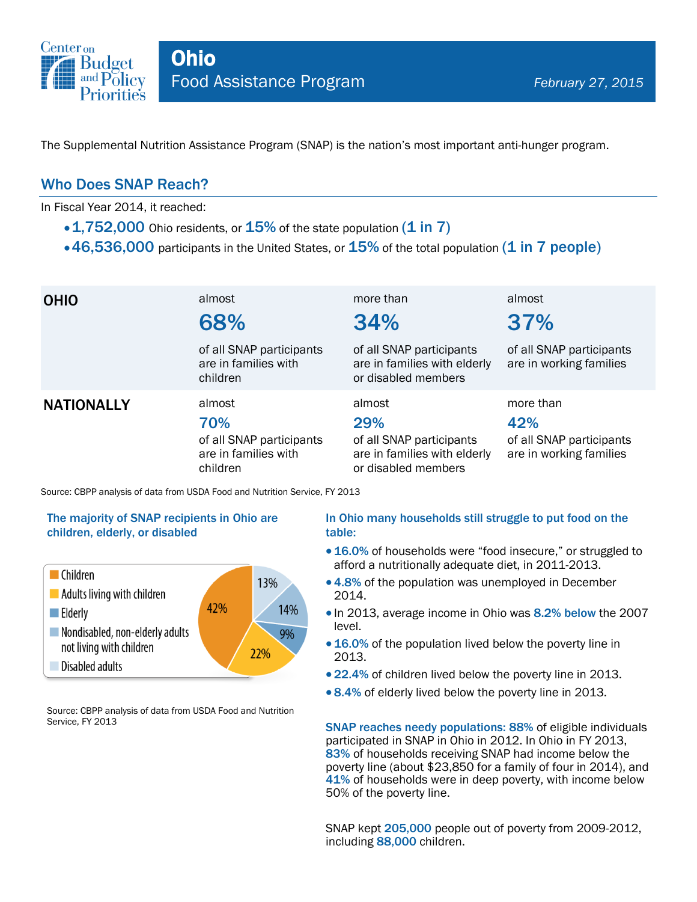

The Supplemental Nutrition Assistance Program (SNAP) is the nation's most important anti-hunger program.

### Who Does SNAP Reach?

In Fiscal Year 2014, it reached:

- $\cdot$  1,752,000 Ohio residents, or 15% of the state population (1 in 7)
- $\cdot$  46,536,000 participants in the United States, or  $15\%$  of the total population (1 in 7 people)

| <b>OHIO</b>                                                                 | almost<br>68%                                                                 | more than<br>34%                                                                                 | almost<br>37%                                                           |  |
|-----------------------------------------------------------------------------|-------------------------------------------------------------------------------|--------------------------------------------------------------------------------------------------|-------------------------------------------------------------------------|--|
|                                                                             | of all SNAP participants<br>are in families with<br>children                  | of all SNAP participants<br>are in families with elderly<br>or disabled members                  | of all SNAP participants<br>are in working families                     |  |
| <b>NATIONALLY</b>                                                           | almost<br>70%<br>of all SNAP participants<br>are in families with<br>children | almost<br>29%<br>of all SNAP participants<br>are in families with elderly<br>or disabled members | more than<br>42%<br>of all SNAP participants<br>are in working families |  |
| Source: CBPP analysis of data from USDA Food and Nutrition Service, FY 2013 |                                                                               |                                                                                                  |                                                                         |  |

#### The majority of SNAP recipients in Ohio are children, elderly, or disabled



Source: CBPP analysis of data from USDA Food and Nutrition Service, FY 2013

#### In Ohio many households still struggle to put food on the table:

- 16.0% of households were "food insecure," or struggled to afford a nutritionally adequate diet, in 2011-2013.
- 4.8% of the population was unemployed in December 2014.
- In 2013, average income in Ohio was 8.2% below the 2007 level.
- 16.0% of the population lived below the poverty line in 2013.
- 22.4% of children lived below the poverty line in 2013.
- 8.4% of elderly lived below the poverty line in 2013.

SNAP reaches needy populations: 88% of eligible individuals participated in SNAP in Ohio in 2012. In Ohio in FY 2013, 83% of households receiving SNAP had income below the poverty line (about \$23,850 for a family of four in 2014), and 41% of households were in deep poverty, with income below 50% of the poverty line.

SNAP kept 205,000 people out of poverty from 2009-2012, including 88,000 children.